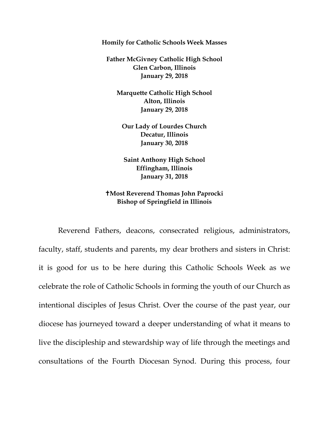**Homily for Catholic Schools Week Masses** 

**Father McGivney Catholic High School Glen Carbon, Illinois January 29, 2018**

**Marquette Catholic High School Alton, Illinois January 29, 2018**

**Our Lady of Lourdes Church Decatur, Illinois January 30, 2018**

**Saint Anthony High School Effingham, Illinois January 31, 2018**

**Most Reverend Thomas John Paprocki Bishop of Springfield in Illinois**

Reverend Fathers, deacons, consecrated religious, administrators, faculty, staff, students and parents, my dear brothers and sisters in Christ: it is good for us to be here during this Catholic Schools Week as we celebrate the role of Catholic Schools in forming the youth of our Church as intentional disciples of Jesus Christ. Over the course of the past year, our diocese has journeyed toward a deeper understanding of what it means to live the discipleship and stewardship way of life through the meetings and consultations of the Fourth Diocesan Synod. During this process, four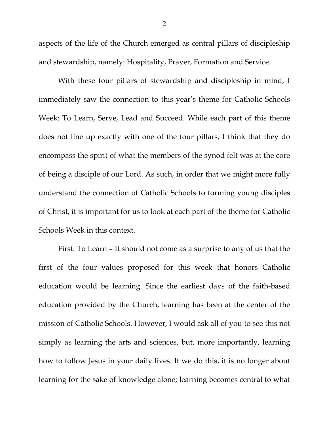aspects of the life of the Church emerged as central pillars of discipleship and stewardship, namely: Hospitality, Prayer, Formation and Service.

With these four pillars of stewardship and discipleship in mind, I immediately saw the connection to this year's theme for Catholic Schools Week: To Learn, Serve, Lead and Succeed. While each part of this theme does not line up exactly with one of the four pillars, I think that they do encompass the spirit of what the members of the synod felt was at the core of being a disciple of our Lord. As such, in order that we might more fully understand the connection of Catholic Schools to forming young disciples of Christ, it is important for us to look at each part of the theme for Catholic Schools Week in this context.

First: To Learn – It should not come as a surprise to any of us that the first of the four values proposed for this week that honors Catholic education would be learning. Since the earliest days of the faith-based education provided by the Church, learning has been at the center of the mission of Catholic Schools. However, I would ask all of you to see this not simply as learning the arts and sciences, but, more importantly, learning how to follow Jesus in your daily lives. If we do this, it is no longer about learning for the sake of knowledge alone; learning becomes central to what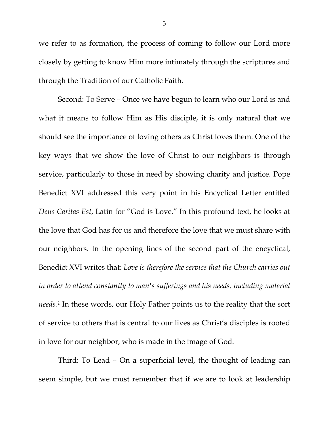we refer to as formation, the process of coming to follow our Lord more closely by getting to know Him more intimately through the scriptures and through the Tradition of our Catholic Faith.

Second: To Serve – Once we have begun to learn who our Lord is and what it means to follow Him as His disciple, it is only natural that we should see the importance of loving others as Christ loves them. One of the key ways that we show the love of Christ to our neighbors is through service, particularly to those in need by showing charity and justice. Pope Benedict XVI addressed this very point in his Encyclical Letter entitled *Deus Caritas Est*, Latin for "God is Love." In this profound text, he looks at the love that God has for us and therefore the love that we must share with our neighbors. In the opening lines of the second part of the encyclical, Benedict XVI writes that: *Love is therefore the service that the Church carries out in order to attend constantly to man's sufferings and his needs, including material needs.[1](#page-4-0)* In these words, our Holy Father points us to the reality that the sort of service to others that is central to our lives as Christ's disciples is rooted in love for our neighbor, who is made in the image of God.

Third: To Lead – On a superficial level, the thought of leading can seem simple, but we must remember that if we are to look at leadership

3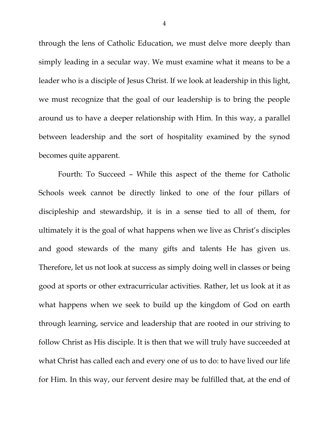through the lens of Catholic Education, we must delve more deeply than simply leading in a secular way. We must examine what it means to be a leader who is a disciple of Jesus Christ. If we look at leadership in this light, we must recognize that the goal of our leadership is to bring the people around us to have a deeper relationship with Him. In this way, a parallel between leadership and the sort of hospitality examined by the synod becomes quite apparent.

Fourth: To Succeed – While this aspect of the theme for Catholic Schools week cannot be directly linked to one of the four pillars of discipleship and stewardship, it is in a sense tied to all of them, for ultimately it is the goal of what happens when we live as Christ's disciples and good stewards of the many gifts and talents He has given us. Therefore, let us not look at success as simply doing well in classes or being good at sports or other extracurricular activities. Rather, let us look at it as what happens when we seek to build up the kingdom of God on earth through learning, service and leadership that are rooted in our striving to follow Christ as His disciple. It is then that we will truly have succeeded at what Christ has called each and every one of us to do: to have lived our life for Him. In this way, our fervent desire may be fulfilled that, at the end of